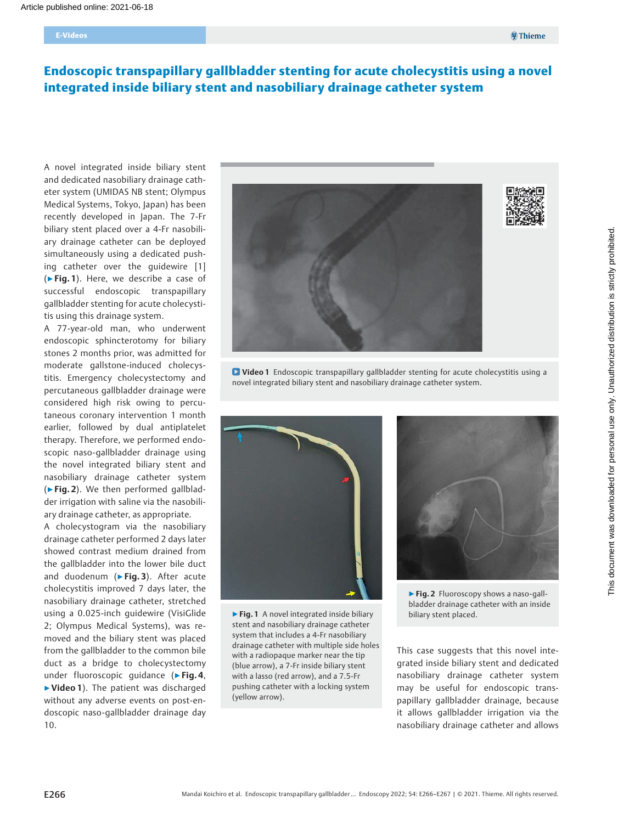# Endoscopic transpapillary gallbladder stenting for acute cholecystitis using a novel integrated inside biliary stent and nasobiliary drainage catheter system

A novel integrated inside biliary stent and dedicated nasobiliary drainage catheter system (UMIDAS NB stent; Olympus Medical Systems, Tokyo, Japan) has been recently developed in Japan. The 7-Fr biliary stent placed over a 4-Fr nasobiliary drainage catheter can be deployed simultaneously using a dedicated pushing catheter over the guidewire [1] (▶Fig. 1). Here, we describe a case of successful endoscopic transpapillary gallbladder stenting for acute cholecystitis using this drainage system.

A 77-year-old man, who underwent endoscopic sphincterotomy for biliary stones 2 months prior, was admitted for moderate gallstone-induced cholecystitis. Emergency cholecystectomy and percutaneous gallbladder drainage were considered high risk owing to percutaneous coronary intervention 1 month earlier, followed by dual antiplatelet therapy. Therefore, we performed endoscopic naso-gallbladder drainage using the novel integrated biliary stent and nasobiliary drainage catheter system (▶Fig. 2). We then performed gallbladder irrigation with saline via the nasobiliary drainage catheter, as appropriate.

A cholecystogram via the nasobiliary drainage catheter performed 2 days later showed contrast medium drained from the gallbladder into the lower bile duct and duodenum (▶Fig. 3). After acute cholecystitis improved 7 days later, the nasobiliary drainage catheter, stretched using a 0.025-inch guidewire (VisiGlide 2; Olympus Medical Systems), was removed and the biliary stent was placed from the gallbladder to the common bile duct as a bridge to cholecystectomy under fluoroscopic guidance (▶Fig. 4, ▶Video 1). The patient was discharged without any adverse events on post-endoscopic naso-gallbladder drainage day 10.







▶ Fig. 1 A novel integrated inside biliary stent and nasobiliary drainage catheter system that includes a 4-Fr nasobiliary drainage catheter with multiple side holes with a radiopaque marker near the tip (blue arrow), a 7-Fr inside biliary stent with a lasso (red arrow), and a 7.5-Fr pushing catheter with a locking system (yellow arrow).



▶ Fig. 2 Fluoroscopy shows a naso-gallbladder drainage catheter with an inside biliary stent placed.

This case suggests that this novel integrated inside biliary stent and dedicated nasobiliary drainage catheter system may be useful for endoscopic transpapillary gallbladder drainage, because it allows gallbladder irrigation via the nasobiliary drainage catheter and allows